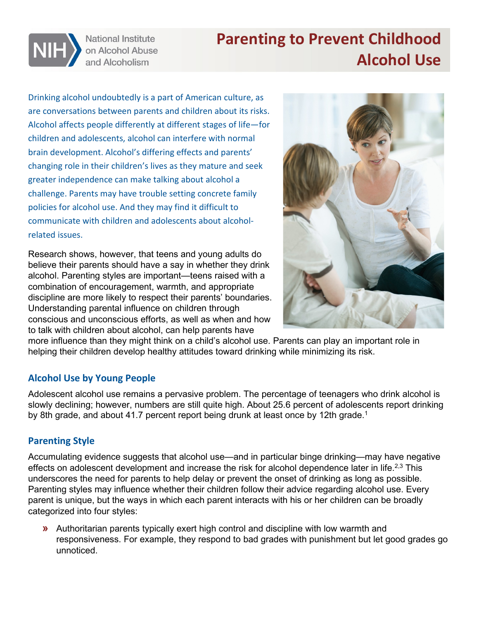

**National Institute** on Alcohol Abuse and Alcoholism

# **Parenting to Prevent Childhood Alcohol Use**

Drinking alcohol undoubtedly is a part of American culture, as are conversations between parents and children about its risks. Alcohol affects people differently at different stages of life—for children and adolescents, alcohol can interfere with normal brain development. Alcohol's differing effects and parents' changing role in their children's lives as they mature and seek greater independence can make talking about alcohol a challenge. Parents may have trouble setting concrete family policies for alcohol use. And they may find it difficult to communicate with children and adolescents about alcoholrelated issues.

Research shows, however, that teens and young adults do believe their parents should have a say in whether they drink alcohol. Parenting styles are important—teens raised with a combination of encouragement, warmth, and appropriate discipline are more likely to respect their parents' boundaries. Understanding parental influence on children through conscious and unconscious efforts, as well as when and how to talk with children about alcohol, can help parents have



more influence than they might think on a child's alcohol use. Parents can play an important role in helping their children develop healthy attitudes toward drinking while minimizing its risk.

#### **Alcohol Use by Young People**

Adolescent alcohol use remains a pervasive problem. The percentage of teenagers who drink alcohol is slowly declining; however, numbers are still quite high. About 25.6 percent of adolescents report drinking by 8th grade, and about 41.7 percent report being drunk at least once by 12th grade.<sup>1</sup>

## **Parenting Style**

Accumulating evidence suggests that alcohol use—and in particular binge drinking—may have negative effects on adolescent development and increase the risk for alcohol dependence later in life.<sup>2,3</sup> This underscores the need for parents to help delay or prevent the onset of drinking as long as possible. Parenting styles may influence whether their children follow their advice regarding alcohol use. Every parent is unique, but the ways in which each parent interacts with his or her children can be broadly categorized into four styles:

**»** Authoritarian parents typically exert high control and discipline with low warmth and responsiveness. For example, they respond to bad grades with punishment but let good grades go unnoticed.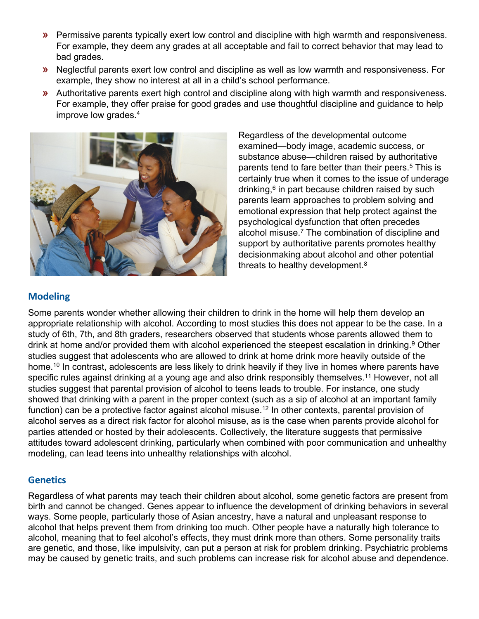- **»** Permissive parents typically exert low control and discipline with high warmth and responsiveness. For example, they deem any grades at all acceptable and fail to correct behavior that may lead to bad grades.
- **»** Neglectful parents exert low control and discipline as well as low warmth and responsiveness. For example, they show no interest at all in a child's school performance.
- **»** Authoritative parents exert high control and discipline along with high warmth and responsiveness. For example, they offer praise for good grades and use thoughtful discipline and guidance to help improve low grades.4



Regardless of the developmental outcome examined—body image, academic success, or substance abuse—children raised by authoritative parents tend to fare better than their peers.<sup>5</sup> This is certainly true when it comes to the issue of underage drinking,<sup>6</sup> in part because children raised by such parents learn approaches to problem solving and emotional expression that help protect against the psychological dysfunction that often precedes alcohol misuse.7 The combination of discipline and support by authoritative parents promotes healthy decisionmaking about alcohol and other potential threats to healthy development.8

#### **Modeling**

Some parents wonder whether allowing their children to drink in the home will help them develop an appropriate relationship with alcohol. According to most studies this does not appear to be the case. In a study of 6th, 7th, and 8th graders, researchers observed that students whose parents allowed them to drink at home and/or provided them with alcohol experienced the steepest escalation in drinking.9 Other studies suggest that adolescents who are allowed to drink at home drink more heavily outside of the home.<sup>10</sup> In contrast, adolescents are less likely to drink heavily if they live in homes where parents have specific rules against drinking at a young age and also drink responsibly themselves.<sup>11</sup> However, not all studies suggest that parental provision of alcohol to teens leads to trouble. For instance, one study showed that drinking with a parent in the proper context (such as a sip of alcohol at an important family function) can be a protective factor against alcohol misuse. <sup>12</sup> In other contexts, parental provision of alcohol serves as a direct risk factor for alcohol misuse, as is the case when parents provide alcohol for parties attended or hosted by their adolescents. Collectively, the literature suggests that permissive attitudes toward adolescent drinking, particularly when combined with poor communication and unhealthy modeling, can lead teens into unhealthy relationships with alcohol.

#### **Genetics**

Regardless of what parents may teach their children about alcohol, some genetic factors are present from birth and cannot be changed. Genes appear to influence the development of drinking behaviors in several ways. Some people, particularly those of Asian ancestry, have a natural and unpleasant response to alcohol that helps prevent them from drinking too much. Other people have a naturally high tolerance to alcohol, meaning that to feel alcohol's effects, they must drink more than others. Some personality traits are genetic, and those, like impulsivity, can put a person at risk for problem drinking. Psychiatric problems may be caused by genetic traits, and such problems can increase risk for alcohol abuse and dependence.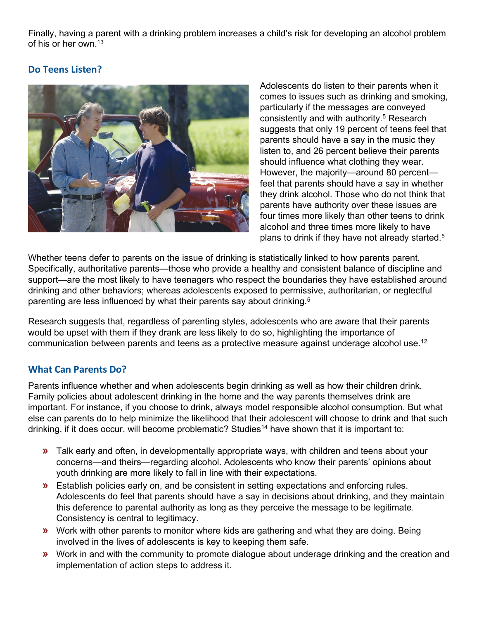Finally, having a parent with a drinking problem increases a child's risk for developing an alcohol problem of his or her own.13

### **Do Teens Listen?**



Adolescents do listen to their parents when it comes to issues such as drinking and smoking, particularly if the messages are conveyed consistently and with authority.5 Research suggests that only 19 percent of teens feel that parents should have a say in the music they listen to, and 26 percent believe their parents should influence what clothing they wear. However, the majority—around 80 percent feel that parents should have a say in whether they drink alcohol. Those who do not think that parents have authority over these issues are four times more likely than other teens to drink alcohol and three times more likely to have plans to drink if they have not already started.<sup>5</sup>

Whether teens defer to parents on the issue of drinking is statistically linked to how parents parent. Specifically, authoritative parents—those who provide a healthy and consistent balance of discipline and support—are the most likely to have teenagers who respect the boundaries they have established around drinking and other behaviors; whereas adolescents exposed to permissive, authoritarian, or neglectful parenting are less influenced by what their parents say about drinking.5

Research suggests that, regardless of parenting styles, adolescents who are aware that their parents would be upset with them if they drank are less likely to do so, highlighting the importance of communication between parents and teens as a protective measure against underage alcohol use.12

#### **What Can Parents Do?**

Parents influence whether and when adolescents begin drinking as well as how their children drink. Family policies about adolescent drinking in the home and the way parents themselves drink are important. For instance, if you choose to drink, always model responsible alcohol consumption. But what else can parents do to help minimize the likelihood that their adolescent will choose to drink and that such drinking, if it does occur, will become problematic? Studies<sup>14</sup> have shown that it is important to:

- **»** Talk early and often, in developmentally appropriate ways, with children and teens about your concerns—and theirs—regarding alcohol. Adolescents who know their parents' opinions about youth drinking are more likely to fall in line with their expectations.
- **»** Establish policies early on, and be consistent in setting expectations and enforcing rules. Adolescents do feel that parents should have a say in decisions about drinking, and they maintain this deference to parental authority as long as they perceive the message to be legitimate. Consistency is central to legitimacy.
- **»** Work with other parents to monitor where kids are gathering and what they are doing. Being involved in the lives of adolescents is key to keeping them safe.
- **»** Work in and with the community to promote dialogue about underage drinking and the creation and implementation of action steps to address it.